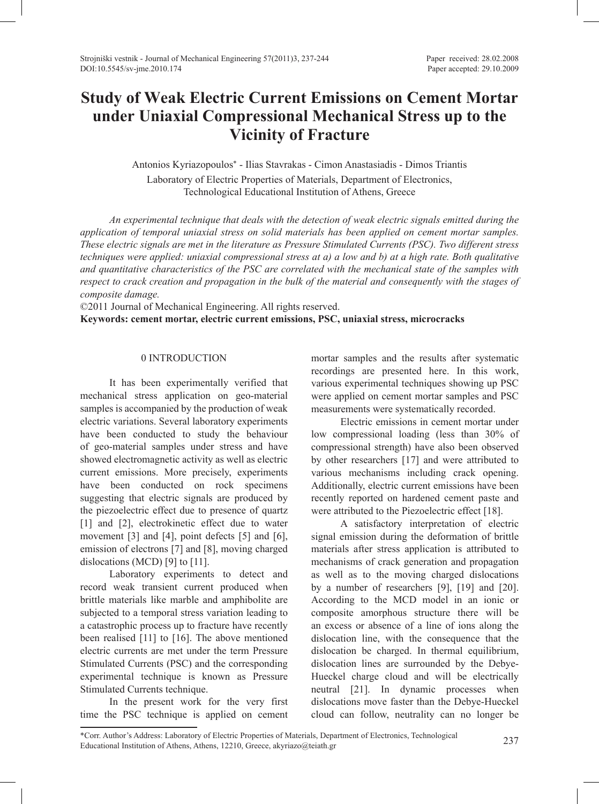# **Study of Weak Electric Current Emissions on Cement Mortar under Uniaxial Compressional Mechanical Stress up to the Vicinity of Fracture**

Antonios Kyriazopoulos\* - Ilias Stavrakas - Cimon Anastasiadis - Dimos Triantis Laboratory of Electric Properties of Materials, Department of Electronics, Technological Educational Institution of Athens, Greece

*An experimental technique that deals with the detection of weak electric signals emitted during the application of temporal uniaxial stress on solid materials has been applied on cement mortar samples. These electric signals are met in the literature as Pressure Stimulated Currents (PSC). Two different stress techniques were applied: uniaxial compressional stress at a) a low and b) at a high rate. Both qualitative and quantitative characteristics of the PSC are correlated with the mechanical state of the samples with respect to crack creation and propagation in the bulk of the material and consequently with the stages of composite damage.*

©2011 Journal of Mechanical Engineering. All rights reserved. **Keywords: cement mortar, electric current emissions, PSC, uniaxial stress, microcracks**

## 0 INTRODUCTION

It has been experimentally verified that mechanical stress application on geo-material samples is accompanied by the production of weak electric variations. Several laboratory experiments have been conducted to study the behaviour of geo-material samples under stress and have showed electromagnetic activity as well as electric current emissions. More precisely, experiments have been conducted on rock specimens suggesting that electric signals are produced by the piezoelectric effect due to presence of quartz [1] and [2], electrokinetic effect due to water movement [3] and [4], point defects [5] and [6], emission of electrons [7] and [8], moving charged dislocations (MCD) [9] to [11].

Laboratory experiments to detect and record weak transient current produced when brittle materials like marble and amphibolite are subjected to a temporal stress variation leading to a catastrophic process up to fracture have recently been realised [11] to [16]. The above mentioned electric currents are met under the term Pressure Stimulated Currents (PSC) and the corresponding experimental technique is known as Pressure Stimulated Currents technique.

In the present work for the very first time the PSC technique is applied on cement

mortar samples and the results after systematic recordings are presented here. In this work, various experimental techniques showing up PSC were applied on cement mortar samples and PSC measurements were systematically recorded.

Electric emissions in cement mortar under low compressional loading (less than 30% of compressional strength) have also been observed by other researchers [17] and were attributed to various mechanisms including crack opening. Additionally, electric current emissions have been recently reported on hardened cement paste and were attributed to the Piezoelectric effect [18].

A satisfactory interpretation of electric signal emission during the deformation of brittle materials after stress application is attributed to mechanisms of crack generation and propagation as well as to the moving charged dislocations by a number of researchers [9], [19] and [20]. According to the MCD model in an ionic or composite amorphous structure there will be an excess or absence of a line of ions along the dislocation line, with the consequence that the dislocation be charged. In thermal equilibrium, dislocation lines are surrounded by the Debye-Hueckel charge cloud and will be electrically neutral [21]. In dynamic processes when dislocations move faster than the Debye-Hueckel cloud can follow, neutrality can no longer be

<sup>\*</sup>Corr. Author's Address: Laboratory of Electric Properties of Materials, Department of Electronics, Technological Educational Institution of Athens, Athens, 12210, Greece, akyriazo@teiath.gr 237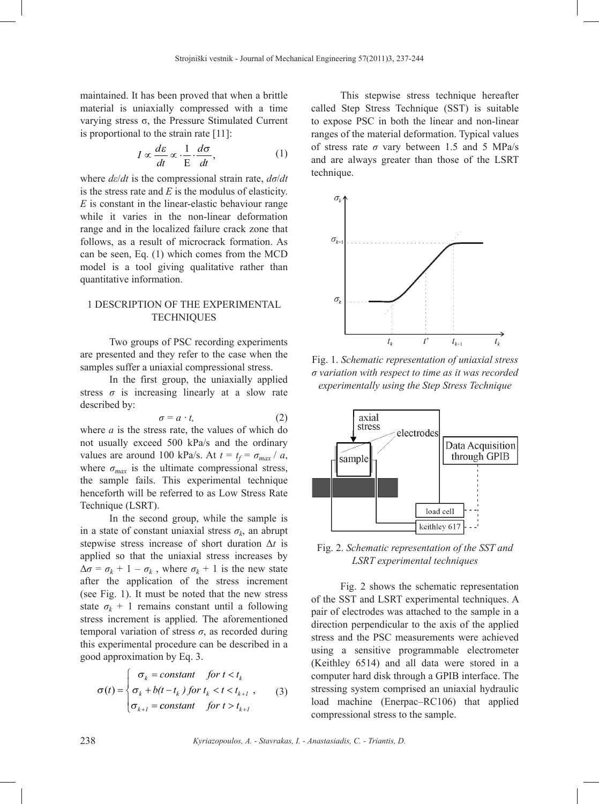maintained. It has been proved that when a brittle material is uniaxially compressed with a time varying stress σ, the Pressure Stimulated Current is proportional to the strain rate [11]:

$$
I \propto \frac{d\varepsilon}{dt} \propto \frac{1}{E} \frac{d\sigma}{dt},\qquad(1)
$$

where *dε*/*dt* is the compressional strain rate, *dσ*/*dt*  is the stress rate and *Ε* is the modulus of elasticity. *E* is constant in the linear-elastic behaviour range while it varies in the non-linear deformation range and in the localized failure crack zone that follows, as a result of microcrack formation. As can be seen, Eq. (1) which comes from the MCD model is a tool giving qualitative rather than quantitative information.

## 1 DESCRIPTION OF THE EXPERIMENTAL **TECHNIQUES**

Two groups of PSC recording experiments are presented and they refer to the case when the samples suffer a uniaxial compressional stress.

In the first group, the uniaxially applied stress  $\sigma$  is increasing linearly at a slow rate described by:

$$
\sigma = a \cdot t,\tag{2}
$$

where *a* is the stress rate, the values of which do not usually exceed 500 kPa/s and the ordinary values are around 100 kPa/s. At  $t = t_f = \sigma_{max} / a$ , where  $\sigma_{max}$  is the ultimate compressional stress, the sample fails. This experimental technique henceforth will be referred to as Low Stress Rate Technique (LSRT).

In the second group, while the sample is in a state of constant uniaxial stress  $\sigma_k$ , an abrupt stepwise stress increase of short duration Δ*t* is applied so that the uniaxial stress increases by  $\Delta \sigma = \sigma_k + 1 - \sigma_k$ , where  $\sigma_k + 1$  is the new state after the application of the stress increment (see Fig. 1). It must be noted that the new stress state  $\sigma_k$  + 1 remains constant until a following stress increment is applied. The aforementioned temporal variation of stress  $\sigma$ , as recorded during this experimental procedure can be described in a good approximation by Eq. 3.

$$
\sigma(t) = \begin{cases}\n\sigma_k = \text{constant} & \text{for } t < t_k \\
\sigma_k + b(t - t_k) & \text{for } t_k < t < t_{k+1} \\
\sigma_{k+1} = \text{constant} & \text{for } t > t_{k+1}\n\end{cases} \tag{3}
$$

This stepwise stress technique hereafter called Step Stress Technique (SST) is suitable to expose PSC in both the linear and non-linear ranges of the material deformation. Typical values of stress rate  $\sigma$  vary between 1.5 and 5 MPa/s and are always greater than those of the LSRT technique.



Fig. 1. *Schematic representation of uniaxial stress σ variation with respect to time as it was recorded experimentally using the Step Stress Technique*



Fig. 2. *Schematic representation of the SST and LSRT experimental techniques*

Fig. 2 shows the schematic representation of the SST and LSRT experimental techniques. A pair of electrodes was attached to the sample in a direction perpendicular to the axis of the applied stress and the PSC measurements were achieved using a sensitive programmable electrometer (Keithley 6514) and all data were stored in a computer hard disk through a GPIB interface. The stressing system comprised an uniaxial hydraulic load machine (Enerpac–RC106) that applied compressional stress to the sample.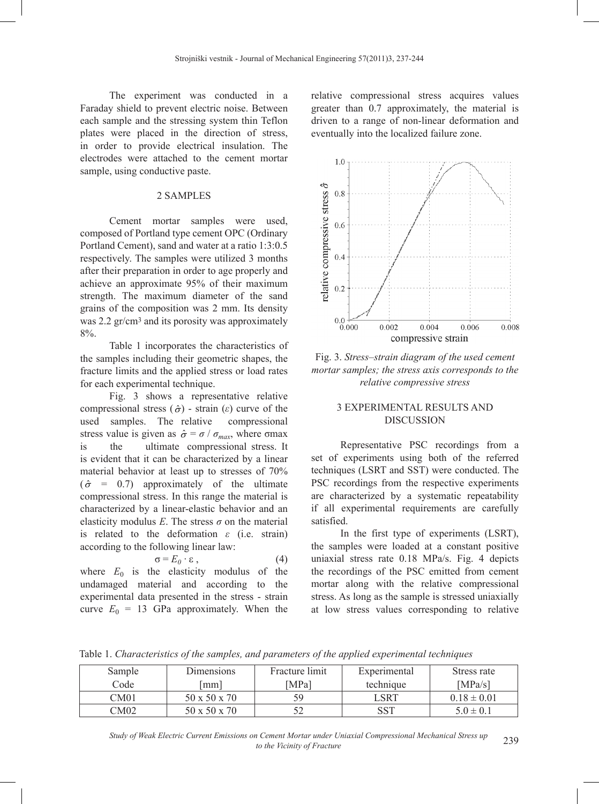The experiment was conducted in a Faraday shield to prevent electric noise. Between each sample and the stressing system thin Teflon plates were placed in the direction of stress, in order to provide electrical insulation. The electrodes were attached to the cement mortar sample, using conductive paste.

## 2 SAMPLES

Cement mortar samples were used, composed of Portland type cement OPC (Ordinary Portland Cement), sand and water at a ratio 1:3:0.5 respectively. The samples were utilized 3 months after their preparation in order to age properly and achieve an approximate 95% of their maximum strength. The maximum diameter of the sand grains of the composition was 2 mm. Its density was 2.2 gr/cm3 and its porosity was approximately 8%.

Table 1 incorporates the characteristics of the samples including their geometric shapes, the fracture limits and the applied stress or load rates for each experimental technique.

Fig. 3 shows a representative relative compressional stress  $(\hat{\sigma})$  - strain  $(\varepsilon)$  curve of the used samples. The relative compressional stress value is given as  $\hat{\sigma} = \sigma / \sigma_{max}$ , where  $\sigma$ max material behavior at least up to stresses of 70% is the ultimate compressional stress. It is evident that it can be characterized by a linear  $(\hat{\sigma} = 0.7)$  approximately of the ultimate compressional stress. In this range the material is characterized by a linear-elastic behavior and an elasticity modulus *E*. The stress  $\sigma$  on the material is related to the deformation *ε* (i.e. strain) according to the following linear law:

$$
\sigma = E_0 \cdot \varepsilon \,, \tag{4}
$$

where  $E_0$  is the elasticity modulus of the undamaged material and according to the experimental data presented in the stress - strain curve  $E_0 = 13$  GPa approximately. When the relative compressional stress acquires values greater than 0.7 approximately, the material is driven to a range of non-linear deformation and eventually into the localized failure zone.



Fig. 3. *Stress–strain diagram of the used cement mortar samples; the stress axis corresponds to the relative compressive stress*

## 3 EXPERIMENTAL RESULTS AND DISCUSSION

Representative PSC recordings from a set of experiments using both of the referred techniques (LSRT and SST) were conducted. The PSC recordings from the respective experiments are characterized by a systematic repeatability if all experimental requirements are carefully satisfied.

In the first type of experiments (LSRT), the samples were loaded at a constant positive uniaxial stress rate 0.18 MPa/s. Fig. 4 depicts the recordings of the PSC emitted from cement mortar along with the relative compressional stress. As long as the sample is stressed uniaxially at low stress values corresponding to relative

Table 1. *Characteristics of the samples, and parameters of the applied experimental techniques*

| Sample | Dimensions               | Fracture limit | Experimental | Stress rate     |  |
|--------|--------------------------|----------------|--------------|-----------------|--|
| Code   | mm                       | [MPa]          | technique    | [MPa/s]         |  |
| CM01   | $50 \times 50 \times 70$ | 50             | LSRT         | $0.18 \pm 0.01$ |  |
| CM02   | 50 x 50 x 70             |                | SST          | $5.0 \pm 0.1$   |  |

239 *Study of Weak Electric Current Emissions on Cement Mortar under Uniaxial Compressional Mechanical Stress up to the Vicinity of Fracture*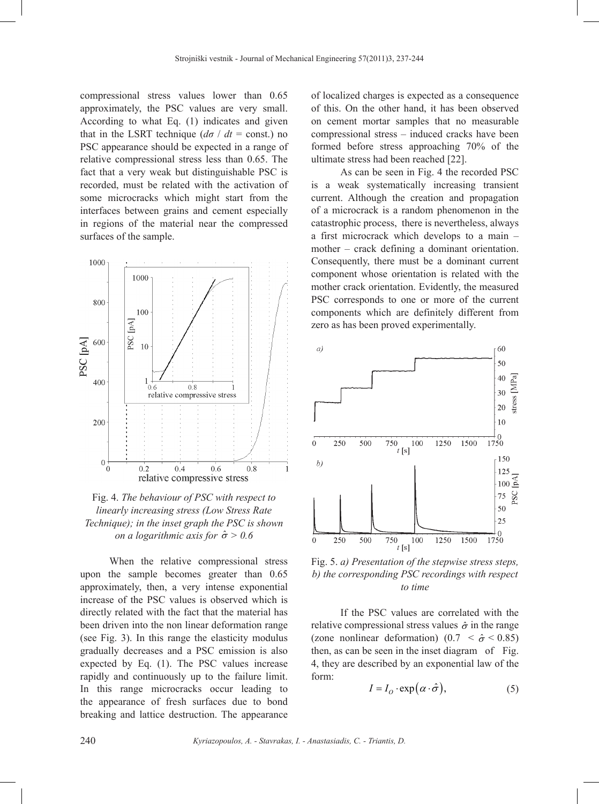compressional stress values lower than 0.65 approximately, the PSC values are very small. According to what Eq. (1) indicates and given that in the LSRT technique  $(d\sigma / dt = \text{const.})$  no PSC appearance should be expected in a range of relative compressional stress less than 0.65. The fact that a very weak but distinguishable PSC is recorded, must be related with the activation of some microcracks which might start from the interfaces between grains and cement especially in regions of the material near the compressed surfaces of the sample.



Fig. 4. *The behaviour of PSC with respect to linearly increasing stress (Low Stress Rate Technique); in the inset graph the PSC is shown on a logarithmic axis for*  <sup>σ</sup>ˆ *> 0.6*

 upon the sample becomes greater than 0.65 When the relative compressional stress approximately, then, a very intense exponential increase of the PSC values is observed which is directly related with the fact that the material has been driven into the non linear deformation range (see Fig. 3). In this range the elasticity modulus gradually decreases and a PSC emission is also expected by Eq. (1). The PSC values increase rapidly and continuously up to the failure limit. In this range microcracks occur leading to the appearance of fresh surfaces due to bond breaking and lattice destruction. The appearance

of localized charges is expected as a consequence of this. On the other hand, it has been observed on cement mortar samples that no measurable compressional stress – induced cracks have been formed before stress approaching 70% of the ultimate stress had been reached [22].

As can be seen in Fig. 4 the recorded PSC is a weak systematically increasing transient current. Although the creation and propagation of a microcrack is a random phenomenon in the catastrophic process, there is nevertheless, always a first microcrack which develops to a main – mother – crack defining a dominant orientation. Consequently, there must be a dominant current component whose orientation is related with the mother crack orientation. Evidently, the measured PSC corresponds to one or more of the current components which are definitely different from zero as has been proved experimentally.



Fig. 5. *a) Presentation of the stepwise stress steps, b) the corresponding PSC recordings with respect to time*

If the PSC values are correlated with the relative compressional stress values  $\hat{\sigma}$  in the range 4, they are described by an exponential law of the (zone nonlinear deformation)  $(0.7 < \hat{\sigma} < 0.85)$ then, as can be seen in the inset diagram of Fig. form:

$$
I = I_o \cdot \exp\left(\alpha \cdot \hat{\sigma}\right),\tag{5}
$$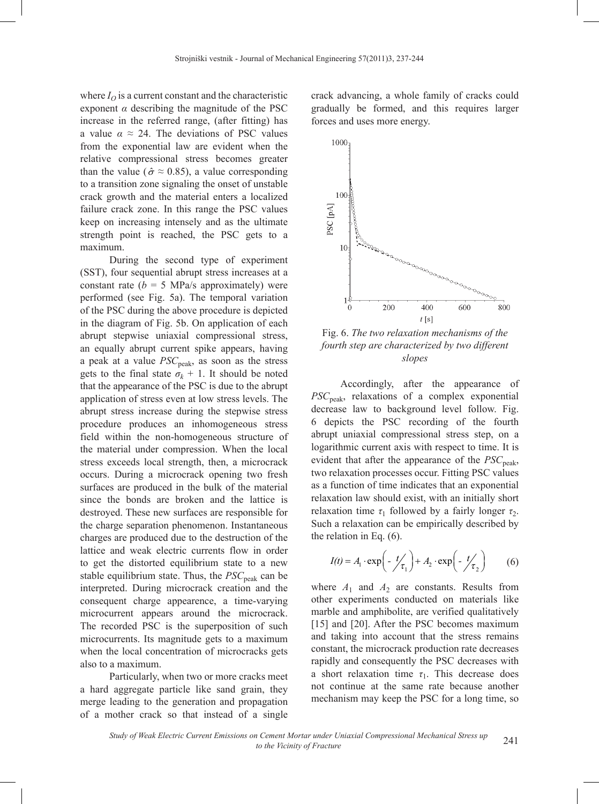where  $I_O$  is a current constant and the characteristic exponent  $\alpha$  describing the magnitude of the PSC increase in the referred range, (after fitting) has a value *α* ≈ 24. The deviations of PSC values from the exponential law are evident when the relative compressional stress becomes greater than the value ( $\hat{\sigma} \approx 0.85$ ), a value corresponding failure crack zone. In this range the PSC values to a transition zone signaling the onset of unstable crack growth and the material enters a localized keep on increasing intensely and as the ultimate strength point is reached, the PSC gets to a maximum.

During the second type of experiment (SST), four sequential abrupt stress increases at a constant rate ( $b = 5$  MPa/s approximately) were performed (see Fig. 5a). The temporal variation of the PSC during the above procedure is depicted in the diagram of Fig. 5b. On application of each abrupt stepwise uniaxial compressional stress, an equally abrupt current spike appears, having a peak at a value *PSC*peak, as soon as the stress gets to the final state  $\sigma_k$  + 1. It should be noted that the appearance of the PSC is due to the abrupt application of stress even at low stress levels. The abrupt stress increase during the stepwise stress procedure produces an inhomogeneous stress field within the non-homogeneous structure of the material under compression. When the local stress exceeds local strength, then, a microcrack occurs. During a microcrack opening two fresh surfaces are produced in the bulk of the material since the bonds are broken and the lattice is destroyed. These new surfaces are responsible for the charge separation phenomenon. Instantaneous charges are produced due to the destruction of the lattice and weak electric currents flow in order to get the distorted equilibrium state to a new stable equilibrium state. Thus, the  $PSC_{\text{peak}}$  can be interpreted. During microcrack creation and the consequent charge appearence, a time-varying microcurrent appears around the microcrack. The recorded PSC is the superposition of such microcurrents. Its magnitude gets to a maximum when the local concentration of microcracks gets also to a maximum.

Particularly, when two or more cracks meet a hard aggregate particle like sand grain, they merge leading to the generation and propagation of a mother crack so that instead of a single

crack advancing, a whole family of cracks could gradually be formed, and this requires larger forces and uses more energy.



Fig. 6. *The two relaxation mechanisms of the fourth step are characterized by two different slopes*

Accordingly, after the appearance of *PSC*peak, relaxations of a complex exponential decrease law to background level follow. Fig. 6 depicts the PSC recording of the fourth abrupt uniaxial compressional stress step, on a logarithmic current axis with respect to time. It is evident that after the appearance of the  $PSC<sub>peak</sub>$ , two relaxation processes occur. Fitting PSC values as a function of time indicates that an exponential relaxation law should exist, with an initially short relaxation time  $\tau_1$  followed by a fairly longer  $\tau_2$ . Such a relaxation can be empirically described by the relation in Eq. (6).

$$
I(t) = A_1 \cdot \exp\left(-\frac{t}{\tau_1}\right) + A_2 \cdot \exp\left(-\frac{t}{\tau_2}\right) \tag{6}
$$

where  $A_1$  and  $A_2$  are constants. Results from other experiments conducted on materials like marble and amphibolite, are verified qualitatively [15] and [20]. After the PSC becomes maximum and taking into account that the stress remains constant, the microcrack production rate decreases rapidly and consequently the PSC decreases with a short relaxation time  $\tau_1$ . This decrease does not continue at the same rate because another mechanism may keep the PSC for a long time, so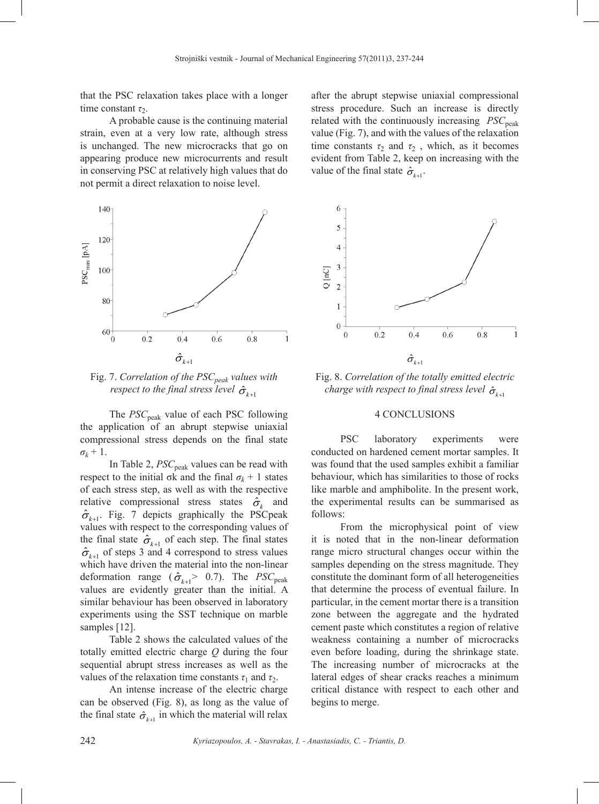that the PSC relaxation takes place with a longer time constant  $\tau_2$ .

A probable cause is the continuing material strain, even at a very low rate, although stress is unchanged. The new microcracks that go on appearing produce new microcurrents and result in conserving PSC at relatively high values that do not permit a direct relaxation to noise level.



Fig. 7. Correlation of the PSC<sub>peak</sub> values with *respect to the final stress level*  $\hat{\sigma}_{k+1}$ 

The *PSC*<sub>peak</sub> value of each PSC following the application of an abrupt stepwise uniaxial compressional stress depends on the final state  $\sigma_k + 1$ .

In Table 2, *PSC*<sub>peak</sub> values can be read with respect to the initial σk and the final  $σ_k + 1$  states of each stress step, as well as with the respective relative compressional stress states  $\hat{\sigma}_k$  and  $\hat{\sigma}_{k+1}$  of steps 3 and 4 correspond to stress values  $\hat{\sigma}_{k+1}$ . Fig. 7 depicts graphically the PSCpeak values with respect to the corresponding values of the final state  $\hat{\sigma}_{k+1}$  of each step. The final states values are evidently greater than the initial. A which have driven the material into the non-linear deformation range ( $\hat{\sigma}_{k+1}$ > 0.7). The *PSC*<sub>peak</sub> samples [12]. similar behaviour has been observed in laboratory experiments using the SST technique on marble

Table 2 shows the calculated values of the totally emitted electric charge *Q* during the four sequential abrupt stress increases as well as the values of the relaxation time constants  $\tau_1$  and  $\tau_2$ .

An intense increase of the electric charge can be observed (Fig. 8), as long as the value of the final state  $\hat{\sigma}_{k+1}$  in which the material will relax

after the abrupt stepwise uniaxial compressional stress procedure. Such an increase is directly related with the continuously increasing *PSC*<sub>peak</sub> value (Fig. 7), and with the values of the relaxation time constants  $\tau_2$  and  $\tau_2$ , which, as it becomes evident from Table 2, keep on increasing with the value of the final state  $\hat{\sigma}_{k+1}$ .



Fig. 8. *Correlation of the totally emitted electric charge with respect to final stress level*  $\hat{\sigma}_{\scriptscriptstyle{k+1}}$ 

#### 4 CONCLUSIONS

 PSC laboratory experiments were conducted on hardened cement mortar samples. It was found that the used samples exhibit a familiar behaviour, which has similarities to those of rocks like marble and amphibolite. In the present work, the experimental results can be summarised as follows:

From the microphysical point of view it is noted that in the non-linear deformation range micro structural changes occur within the samples depending on the stress magnitude. They constitute the dominant form of all heterogeneities that determine the process of eventual failure. In particular, in the cement mortar there is a transition zone between the aggregate and the hydrated cement paste which constitutes a region of relative weakness containing a number of microcracks even before loading, during the shrinkage state. The increasing number of microcracks at the lateral edges of shear cracks reaches a minimum critical distance with respect to each other and begins to merge.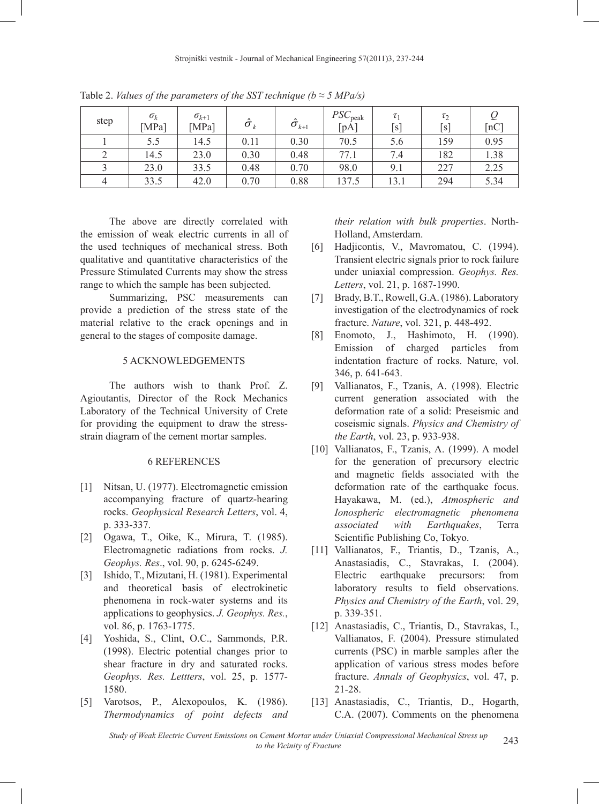| step | $\sigma_k$<br>[ $MPa$ ] | $\sigma_{k+1}$<br>[MPa] | $\sim$<br>$\sigma_{\scriptscriptstyle k}$ | $\hat{\sigma}_{\scriptscriptstyle k+1}$ | $PSC_{\rm peak}$<br>$\lceil pA \rceil$ | $\tau_{1}$<br>[s] | $\tau_2$<br>[s] | [nC] |
|------|-------------------------|-------------------------|-------------------------------------------|-----------------------------------------|----------------------------------------|-------------------|-----------------|------|
|      | 5.5                     | 14.5                    | 0.11                                      | 0.30                                    | 70.5                                   | 5.6               | 159             | 0.95 |
|      | 14.5                    | 23.0                    | 0.30                                      | 0.48                                    | 77.1                                   | 7.4               | 182             | 1.38 |
|      | 23.0                    | 33.5                    | 0.48                                      | 0.70                                    | 98.0                                   | 9.1               | 227             | 2.25 |
| 4    | 33.5                    | 42.0                    | 0.70                                      | 0.88                                    | 137.5                                  | 13.1              | 294             | 5.34 |

Table 2. *Values of the parameters of the SST technique (b*  $\approx$  *5 MPa/s)* 

The above are directly correlated with the emission of weak electric currents in all of the used techniques of mechanical stress. Both qualitative and quantitative characteristics of the Pressure Stimulated Currents may show the stress range to which the sample has been subjected.

Summarizing, PSC measurements can provide a prediction of the stress state of the material relative to the crack openings and in general to the stages of composite damage.

### 5 ACKNOWLEDGEMENTS

The authors wish to thank Prof. Z. Agioutantis, Director of the Rock Mechanics Laboratory of the Technical University of Crete for providing the equipment to draw the stressstrain diagram of the cement mortar samples.

#### 6 REFERENCES

- [1] Nitsan, U. (1977). Electromagnetic emission accompanying fracture of quartz-hearing rocks. *Geophysical Research Letters*, vol. 4, p. 333-337.
- [2] Ogawa, T., Oike, K., Mirura, T. (1985). Electromagnetic radiations from rocks. *J. Geophys. Res*., vol. 90, p. 6245-6249.
- [3] Ishido, T., Mizutani, H. (1981). Experimental and theoretical basis of electrokinetic phenomena in rock-water systems and its applications to geophysics. *J. Geophys. Res.*, vol. 86, p. 1763-1775.
- [4] Yoshida, S., Clint, O.C., Sammonds, P.R. (1998). Electric potential changes prior to shear fracture in dry and saturated rocks. *Geophys. Res. Lettters*, vol. 25, p. 1577- 1580.
- [5] Varotsos, P., Alexopoulos, K. (1986). *Thermodynamics of point defects and*

*their relation with bulk properties*. North-Holland, Amsterdam.

- [6] Hadjicontis, V., Mavromatou, C. (1994). Transient electric signals prior to rock failure under uniaxial compression. *Geophys. Res. Letters*, vol. 21, p. 1687-1990.
- [7] Brady, B.T., Rowell, G.A. (1986). Laboratory investigation of the electrodynamics of rock fracture. *Nature*, vol. 321, p. 448-492.
- [8] Enomoto, J., Hashimoto, H. (1990). Emission of charged particles from indentation fracture of rocks. Nature, vol. 346, p. 641-643.
- [9] Vallianatos, F., Tzanis, A. (1998). Electric current generation associated with the deformation rate of a solid: Preseismic and coseismic signals. *Physics and Chemistry of the Earth*, vol. 23, p. 933-938.
- [10] Vallianatos, F., Tzanis, A. (1999). A model for the generation of precursory electric and magnetic fields associated with the deformation rate of the earthquake focus. Hayakawa, M. (ed.), *Atmospheric and Ionospheric electromagnetic phenomena associated with Earthquakes*, Terra Scientific Publishing Co, Tokyo.
- [11] Vallianatos, F., Triantis, D., Tzanis, A., Anastasiadis, C., Stavrakas, I. (2004). Electric earthquake precursors: from laboratory results to field observations. *Physics and Chemistry of the Earth*, vol. 29, p. 339-351.
- [12] Anastasiadis, C., Triantis, D., Stavrakas, I., Vallianatos, F. (2004). Pressure stimulated currents (PSC) in marble samples after the application of various stress modes before fracture. *Annals of Geophysics*, vol. 47, p. 21-28.
- [13] Anastasiadis, C., Triantis, D., Hogarth, C.A. (2007). Comments on the phenomena

<sup>243</sup> *Study of Weak Electric Current Emissions on Cement Mortar under Uniaxial Compressional Mechanical Stress up to the Vicinity of Fracture*